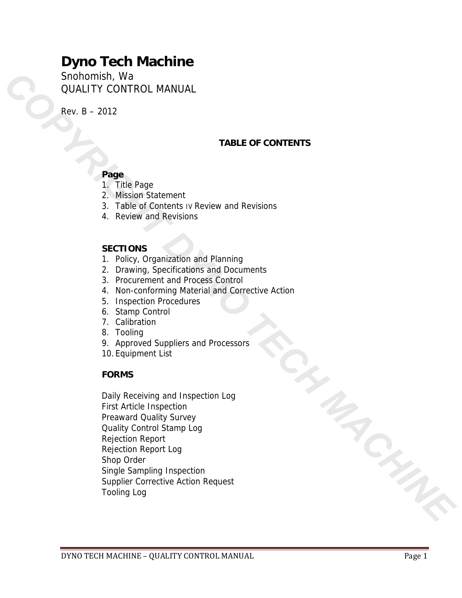# **Dyno Tech Machine**

Snohomish, Wa QUALITY CONTROL MANUAL

Rev. B – 2012

#### **TABLE OF CONTENTS**

#### **Page**

- 1. Title Page
- 2. Mission Statement
- 3. Table of Contents IV Review and Revisions
- 4. Review and Revisions

#### **SECTIONS**

- 1. Policy, Organization and Planning
- 2. Drawing, Specifications and Documents
- 3. Procurement and Process Control
- 4. Non-conforming Material and Corrective Action
- 5. Inspection Procedures
- 6. Stamp Control
- 7. Calibration
- 8. Tooling
- 9. Approved Suppliers and Processors
- 10. Equipment List

#### **FORMS**

Daily Receiving and Inspection Log First Article Inspection Preaward Quality Survey Quality Control Stamp Log Rejection Report Rejection Report Log Shop Order Single Sampling Inspection Supplier Corrective Action Request Tooling Log **COPYRIGHT DVA THE CONTROL MANUAL**<br> **Rev. B = 2012**<br> **TABLE OF CONTRUS**<br> **Page**<br> **P COPYRIGHTS**<br> **TABLE OF CONTENTS**<br> **TABLE OF CONTENTS**<br> **COPYRIGHTS**<br> **COPYRIGHTS**<br> **COPYRIGHTS**<br> **COPYRIGHTS**<br> **COPYRIGHTS**<br> **COPYRIGHTS**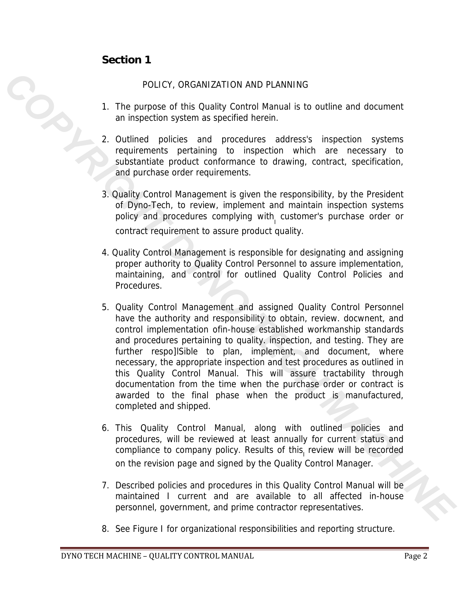### **Section 1**

- 1. The purpose of this Quality Control Manual is to outline and document an inspection system as specified herein.
- POLICY, ORGANIZATION AND PLANNING<br>1. The purpose of this Quality Control Manual is to<br>an inspection system as specified herein.<br>1. The purpose of this Quality Control Manual is to<br>1. The purpose of this Quality Control Man 2. Outlined policies and procedures address's inspection systems requirements pertaining to inspection which are necessary to substantiate product conformance to drawing, contract, specification, and purchase order requirements.
	- 3. Quality Control Management is given the responsibility, by the President of Dyno-Tech, to review, implement and maintain inspection systems policy and procedures complying with customer's purchase order or contract requirement to assure product quality.
	- 4. Quality Control Management is responsible for designating and assigning proper authority to Quality Control Personnel to assure implementation, maintaining, and control for outlined Quality Control Policies and Procedures.
- 5. Quality Control Management and assigned Quality Control Personnel have the authority and responsibility to obtain, review. docwnent, and control implementation ofin-house established workmanship standards and procedures pertaining to quality. inspection, and testing. They are further respo]lSible to plan, implement, and document, where necessary, the appropriate inspection and test procedures as outlined in this Quality Control Manual. This will assure tractability through documentation from the time when the purchase order or contract is awarded to the final phase when the product is manufactured, completed and shipped. POLICY, ORCANIZATION AND PLANNING<br>
2. Outlined policies and procedures address<sup>4</sup> inspection systems<br>
2. Outlined policies and procedures address<sup>4</sup> inspection systems<br>
2. Outlined policies and procedures address<sup>4</sup> inspec
	- 6. This Quality Control Manual, along with outlined policies and procedures, will be reviewed at least annually for current status and compliance to company policy. Results of this, review will be recorded on the revision page and signed by the Quality Control Manager.
	- 7. Described policies and procedures in this Quality Control Manual will be maintained I current and are available to all affected in-house personnel, government, and prime contractor representatives.
	- 8. See Figure I for organizational responsibilities and reporting structure.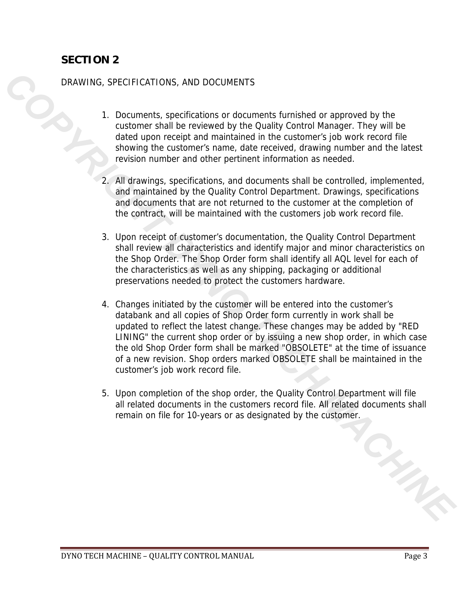#### DRAWING, SPECIFICATIONS, AND DOCUMENTS

- 1. Documents, specifications or documents furnished or approved by the customer shall be reviewed by the Quality Control Manager. They will be dated upon receipt and maintained in the customer's job work record file showing the customer's name, date received, drawing number and the latest revision number and other pertinent information as needed.
- 2. All drawings, specifications, and documents shall be controlled, implemented, and maintained by the Quality Control Department. Drawings, specifications and documents that are not returned to the customer at the completion of the contract, will be maintained with the customers job work record file.
- 3. Upon receipt of customer's documentation, the Quality Control Department shall review all characteristics and identify major and minor characteristics on the Shop Order. The Shop Order form shall identify all AQL level for each of the characteristics as well as any shipping, packaging or additional preservations needed to protect the customers hardware.
- 4. Changes initiated by the customer will be entered into the customer's databank and all copies of Shop Order form currently in work shall be updated to reflect the latest change. These changes may be added by "RED LINING" the current shop order or by issuing a new shop order, in which case the old Shop Order form shall be marked "OBSOLETE" at the time of issuance of a new revision. Shop orders marked OBSOLETE shall be maintained in the customer's job work record file. **CORAMING**, SPECIFICATIONS, AND DOCUMENTS<br>
1. Documents, specificalitatis or chocometers larmished or approved by the<br>
cationer shold be mealwed by the Guality Contribute Machine, They will be<br>
dated upon rocolpt and malin
	- 5. Upon completion of the shop order, the Quality Control Department will file all related documents in the customers record file. All related documents shall remain on file for 10-years or as designated by the customer.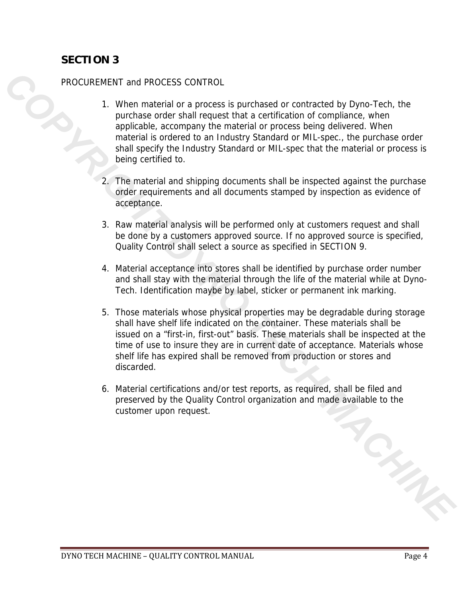#### PROCUREMENT and PROCESS CONTROL

- 1. When material or a process is purchased or contracted by Dyno-Tech, the purchase order shall request that a certification of compliance, when applicable, accompany the material or process being delivered. When material is ordered to an Industry Standard or MIL-spec., the purchase order shall specify the Industry Standard or MIL-spec that the material or process is being certified to. PROCUREMENT and PROCESS CONTROL<br>
1. When maintain or a process is purchased or contrincied by Dyno-Tech. the<br>
prochase cross radio accompany the material or process being delivered. When<br>
specified as coronary the material
	- 2. The material and shipping documents shall be inspected against the purchase order requirements and all documents stamped by inspection as evidence of acceptance.
	- 3. Raw material analysis will be performed only at customers request and shall be done by a customers approved source. If no approved source is specified, Quality Control shall select a source as specified in SECTION 9.
	- 4. Material acceptance into stores shall be identified by purchase order number and shall stay with the material through the life of the material while at Dyno-Tech. Identification maybe by label, sticker or permanent ink marking.
	- 5. Those materials whose physical properties may be degradable during storage shall have shelf life indicated on the container. These materials shall be issued on a "first-in, first-out" basis. These materials shall be inspected at the time of use to insure they are in current date of acceptance. Materials whose shelf life has expired shall be removed from production or stores and discarded.
	- 6. Material certifications and/or test reports, as required, shall be filed and preserved by the Quality Control organization and made available to the customer upon request. customer upon request.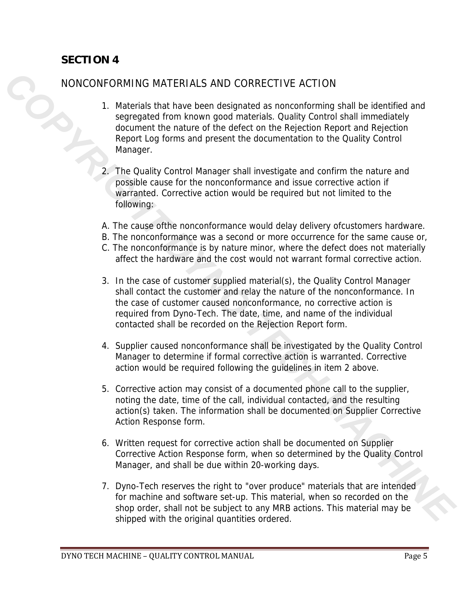## NONCONFORMING MATERIALS AND CORRECTIVE ACTION

- 1. Materials that have been designated as nonconforming shall be identified and segregated from known good materials. Quality Control shall immediately document the nature of the defect on the Rejection Report and Rejection Report Log forms and present the documentation to the Quality Control Manager. **NONCONFORMING MATERIALS AND CORRECTIVE ACTION**<br>
1. Materials that have been designated as noncorrorming shall be identified and<br>
segmented from known designated as noncorrorming shall immediately and<br>
segment the nulline
	- 2. The Quality Control Manager shall investigate and confirm the nature and possible cause for the nonconformance and issue corrective action if warranted. Corrective action would be required but not limited to the following:
	- A. The cause ofthe nonconformance would delay delivery ofcustomers hardware.
	- B. The nonconformance was a second or more occurrence for the same cause or,
	- C. The nonconformance is by nature minor, where the defect does not materially affect the hardware and the cost would not warrant formal corrective action.
	- 3. In the case of customer supplied material(s), the Quality Control Manager shall contact the customer and relay the nature of the nonconformance. In the case of customer caused nonconformance, no corrective action is required from Dyno-Tech. The date, time, and name of the individual contacted shall be recorded on the Rejection Report form.
	- 4. Supplier caused nonconformance shall be investigated by the Quality Control Manager to determine if formal corrective action is warranted. Corrective action would be required following the guidelines in item 2 above.
	- 5. Corrective action may consist of a documented phone call to the supplier, noting the date, time of the call, individual contacted, and the resulting action(s) taken. The information shall be documented on Supplier Corrective Action Response form.
	- 6. Written request for corrective action shall be documented on Supplier Corrective Action Response form, when so determined by the Quality Control Manager, and shall be due within 20-working days.
	- 7. Dyno-Tech reserves the right to "over produce" materials that are intended for machine and software set-up. This material, when so recorded on the shop order, shall not be subject to any MRB actions. This material may be shipped with the original quantities ordered.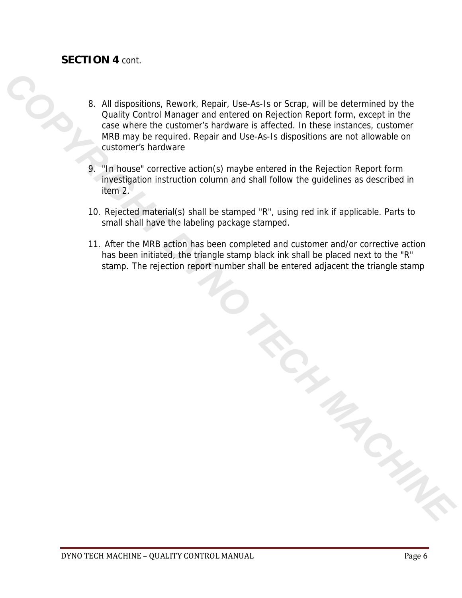#### **SECTION 4** cont.

- 8. All dispositions, Rework, Repair, Use-As-Is or Scrap, will be determined by the Quality Control Manager and entered on Rejection Report form, except in the case where the customer's hardware is affected. In these instances, customer MRB may be required. Repair and Use-As-Is dispositions are not allowable on customer's hardware
- 9. "In house" corrective action(s) maybe entered in the Rejection Report form investigation instruction column and shall follow the guidelines as described in item 2.
- 10. Rejected material(s) shall be stamped "R", using red ink if applicable. Parts to small shall have the labeling package stamped.
- 11. After the MRB action has been completed and customer and/or corrective action has been initiated, the triangle stamp black ink shall be placed next to the "R" stamp. The rejection report number shall be entered adjacent the triangle stamp

DYNO TECH MACHINE - QUALITY CONTROL MANUAL **Example 2018** Page 6

*COPYRIGHT DYNO TECH MACHINE*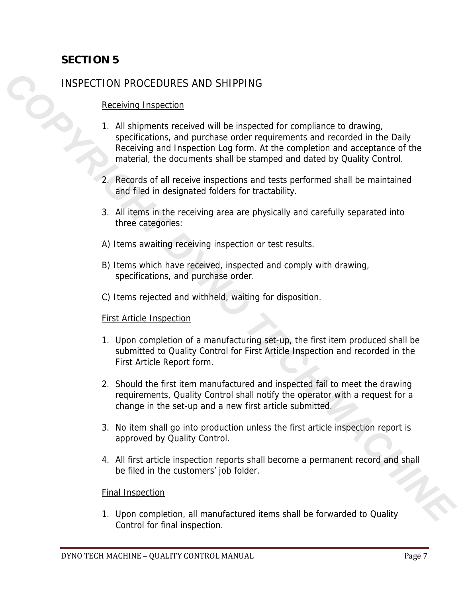#### INSPECTION PROCEDURES AND SHIPPING

#### Receiving Inspection

- 1. All shipments received will be inspected for compliance to drawing, specifications, and purchase order requirements and recorded in the Daily Receiving and Inspection Log form. At the completion and acceptance of the material, the documents shall be stamped and dated by Quality Control. **EXERCTION PROCEDURES AND SHIPPING**<br> **Exceluring Impaction**<br> **COVERTS AND IN SURFER CONTEX (SECTED TO THE SURFER CONTEX SHOWS ARE DETERMINENT AND INCORPORT SHOWS ARE DETERMINED AND ASSOCIATED TO THE AND MESSAGE MOREOVER TO** 
	- 2. Records of all receive inspections and tests performed shall be maintained and filed in designated folders for tractability.
	- 3. All items in the receiving area are physically and carefully separated into three categories:
	- A) Items awaiting receiving inspection or test results.
	- B) Items which have received, inspected and comply with drawing, specifications, and purchase order.
	- C) Items rejected and withheld, waiting for disposition.

#### First Article Inspection

- 1. Upon completion of a manufacturing set-up, the first item produced shall be submitted to Quality Control for First Article Inspection and recorded in the First Article Report form.
- 2. Should the first item manufactured and inspected fail to meet the drawing requirements, Quality Control shall notify the operator with a request for a change in the set-up and a new first article submitted.
- 3. No item shall go into production unless the first article inspection report is approved by Quality Control.
- 4. All first article inspection reports shall become a permanent record and shall be filed in the customers' job folder.

#### Final Inspection

1. Upon completion, all manufactured items shall be forwarded to Quality Control for final inspection.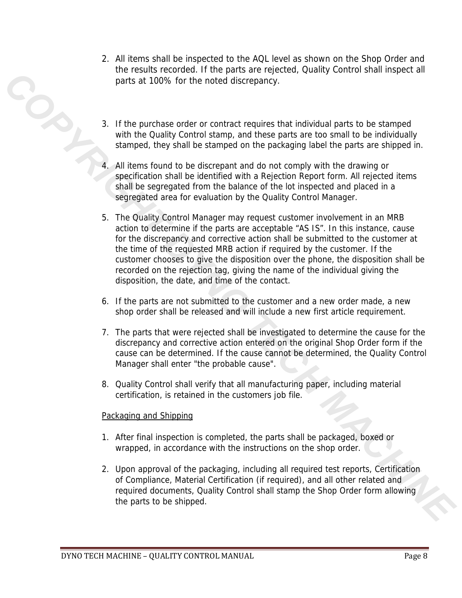- 2. All items shall be inspected to the AQL level as shown on the Shop Order and the results recorded. If the parts are rejected, Quality Control shall inspect all parts at 100% for the noted discrepancy.
- 3. If the purchase order or contract requires that individual parts to be stamped with the Quality Control stamp, and these parts are too small to be individually stamped, they shall be stamped on the packaging label the parts are shipped in.
- 4. All items found to be discrepant and do not comply with the drawing or specification shall be identified with a Rejection Report form. All rejected items shall be segregated from the balance of the lot inspected and placed in a segregated area for evaluation by the Quality Control Manager.
- 5. The Quality Control Manager may request customer involvement in an MRB action to determine if the parts are acceptable "AS IS". In this instance, cause for the discrepancy and corrective action shall be submitted to the customer at the time of the requested MRB action if required by the customer. If the customer chooses to give the disposition over the phone, the disposition shall be recorded on the rejection tag, giving the name of the individual giving the disposition, the date, and time of the contact. The transformation of the part of the computer and the relation of the state parts of 100% for the midel discrepancy.<br>
3. If the purchase ander are contract requires that individual parts to be stamped with the Quality Con
	- 6. If the parts are not submitted to the customer and a new order made, a new shop order shall be released and will include a new first article requirement.
	- 7. The parts that were rejected shall be investigated to determine the cause for the discrepancy and corrective action entered on the original Shop Order form if the cause can be determined. If the cause cannot be determined, the Quality Control Manager shall enter "the probable cause".
	- 8. Quality Control shall verify that all manufacturing paper, including material certification, is retained in the customers job file.

#### Packaging and Shipping

- 1. After final inspection is completed, the parts shall be packaged, boxed or wrapped, in accordance with the instructions on the shop order.
- 2. Upon approval of the packaging, including all required test reports, Certification of Compliance, Material Certification (if required), and all other related and required documents, Quality Control shall stamp the Shop Order form allowing the parts to be shipped.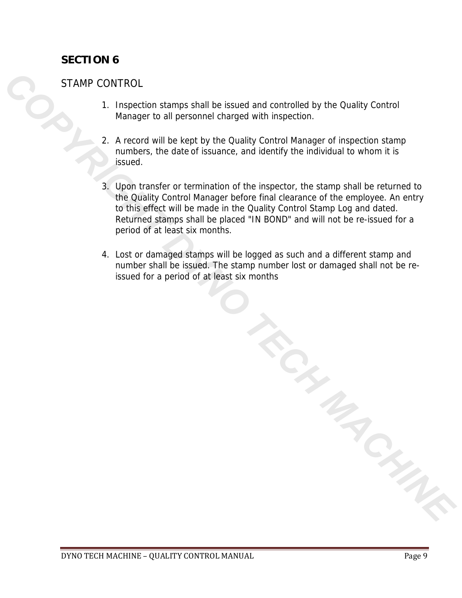#### STAMP CONTROL

- 1. Inspection stamps shall be issued and controlled by the Quality Control Manager to all personnel charged with inspection.
- 2. A record will be kept by the Quality Control Manager of inspection stamp numbers, the date of issuance, and identify the individual to whom it is issued.
- 3. Upon transfer or termination of the inspector, the stamp shall be returned to the Quality Control Manager before final clearance of the employee. An entry to this effect will be made in the Quality Control Stamp Log and dated. Returned stamps shall be placed "IN BOND" and will not be re-issued for a period of at least six months. STAMP CONTROL<br>
1. Inspection stamps shall be issued and controlled by the Cuality Control<br>
1. Inspection stamps that ill restaurant charged with inspection.<br>
2. A record will be kept by the Quality Control Manager of Inspe
	- 4. Lost or damaged stamps will be logged as such and a different stamp and number shall be issued. The stamp number lost or damaged shall not be reissued for a period of at least six months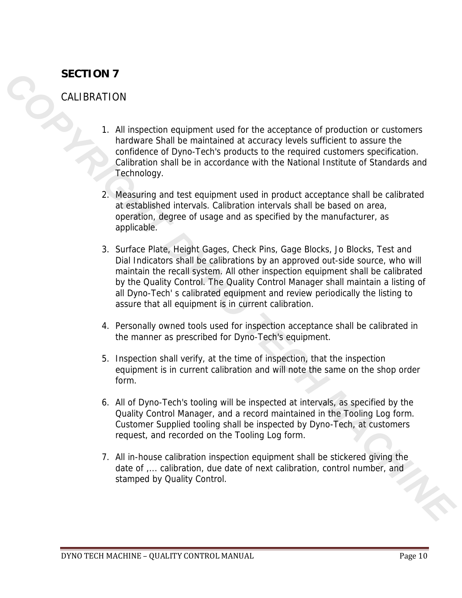#### CALIBRATION

- 1. All inspection equipment used for the acceptance of production or customers hardware Shall be maintained at accuracy levels sufficient to assure the confidence of Dyno-Tech's products to the required customers specification. Calibration shall be in accordance with the National Institute of Standards and Technology.
- 2. Measuring and test equipment used in product acceptance shall be calibrated at established intervals. Calibration intervals shall be based on area, operation, degree of usage and as specified by the manufacturer, as applicable.
- 3. Surface Plate, Height Gages, Check Pins, Gage Blocks, Jo Blocks, Test and Dial Indicators shall be calibrations by an approved out-side source, who will maintain the recall system. All other inspection equipment shall be calibrated by the Quality Control. The Quality Control Manager shall maintain a listing of all Dyno-Tech' s calibrated equipment and review periodically the listing to assure that all equipment is in current calibration. **CALIBRATION 7**<br> **CALIBRATION**<br> **CALIBRATION**<br> **CALIBRATION**<br> **CALIBRATION**<br> **CALIBRATION**<br> **CARIFORM COPYRIGHTS DESCRIPS (CALIGATION**<br> **CARIFORM COPYRIGHTS (CALIGATION** CORPIGATION (**CALIGATION**)<br> **CARIFORM COPYRIGHTS** 
	- 4. Personally owned tools used for inspection acceptance shall be calibrated in the manner as prescribed for Dyno-Tech's equipment.
	- 5. Inspection shall verify, at the time of inspection, that the inspection equipment is in current calibration and will note the same on the shop order form.
	- 6. All of Dyno-Tech's tooling will be inspected at intervals, as specified by the Quality Control Manager, and a record maintained in the Tooling Log form. Customer Supplied tooling shall be inspected by Dyno-Tech, at customers request, and recorded on the Tooling Log form.
	- 7. All in-house calibration inspection equipment shall be stickered giving the date of .... calibration, due date of next calibration, control number, and stamped by Quality Control.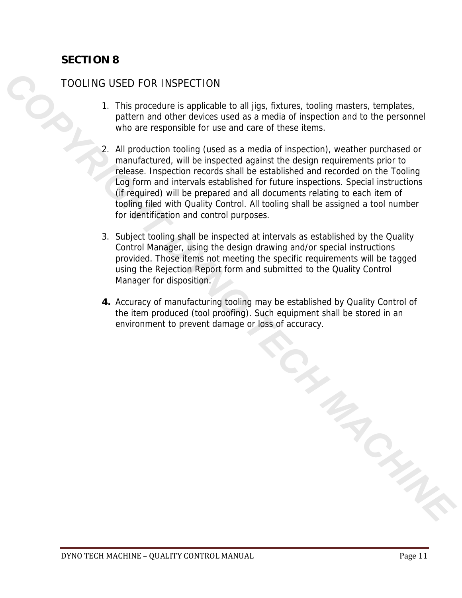#### TOOLING USED FOR INSPECTION

- 1. This procedure is applicable to all jigs, fixtures, tooling masters, templates, pattern and other devices used as a media of inspection and to the personnel who are responsible for use and care of these items.
- 2. All production tooling (used as a media of inspection), weather purchased or manufactured, will be inspected against the design requirements prior to release. Inspection records shall be established and recorded on the Tooling Log form and intervals established for future inspections. Special instructions (if required) will be prepared and all documents relating to each item of tooling filed with Quality Control. All tooling shall be assigned a tool number for identification and control purposes. **COLING USED FOR INSPECTION**<br>
1. This procedure is applicable to all ligs filterness, tooling masters, templates<br>
patition and other parameteristic state and and the method of methods witho were respirated by filter and ca
	- 3. Subject tooling shall be inspected at intervals as established by the Quality Control Manager, using the design drawing and/or special instructions provided. Those items not meeting the specific requirements will be tagged using the Rejection Report form and submitted to the Quality Control Manager for disposition.
	- **4.** Accuracy of manufacturing tooling may be established by Quality Control of the item produced (tool proofing). Such equipment shall be stored in an environment to prevent damage or loss of accuracy.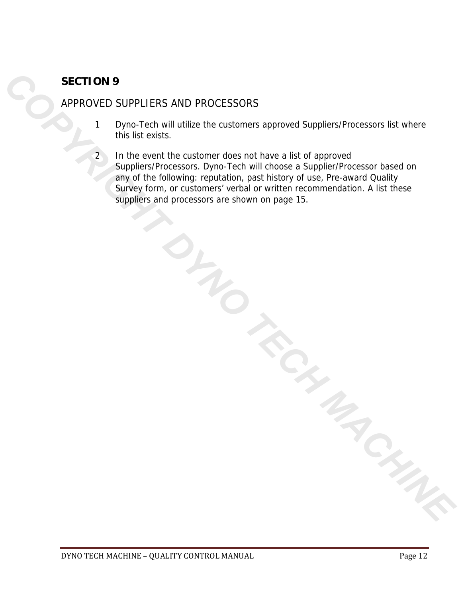#### APPROVED SUPPLIERS AND PROCESSORS

- 1 Dyno-Tech will utilize the customers approved Suppliers/Processors list where this list exists.
- 2 In the event the customer does not have a list of approved Suppliers/Processors. Dyno-Tech will choose a Supplier/Processor based on any of the following: reputation, past history of use, Pre-award Quality Survey form, or customers' verbal or written recommendation. A list these suppliers and processors are shown on page 15.

OYA CONTRACTED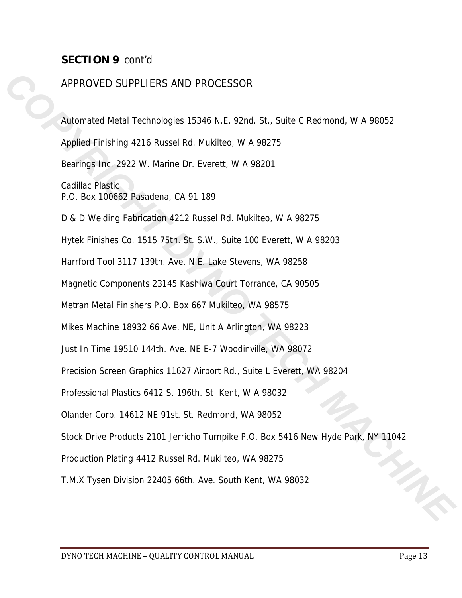### **SECTION 9 cont'd**

#### APPROVED SUPPLIERS AND PROCESSOR

Automated Metal Technologies 15346 N.E. 92nd. St., Suite C Redmond, W A 98052 Applied Finishing 4216 Russel Rd. Mukilteo, W A 98275 Bearings Inc. 2922 W. Marine Dr. Everett, W A 98201 Cadillac Plastic P.O. Box 100662 Pasadena, CA 91 189 D & D Welding Fabrication 4212 Russel Rd. Mukilteo, W A 98275 Hytek Finishes Co. 1515 75th. St. S.W., Suite 100 Everett, W A 98203 Harrford Tool 3117 139th. Ave. N.E. Lake Stevens, WA 98258 Magnetic Components 23145 Kashiwa Court Torrance, CA 90505 Metran Metal Finishers P.O. Box 667 Mukilteo, WA 98575 Mikes Machine 18932 66 Ave. NE, Unit A Arlington, WA 98223 Just In Time 19510 144th. Ave. NE E-7 Woodinville, WA 98072 Precision Screen Graphics 11627 Airport Rd., Suite L Everett, WA 98204 Professional Plastics 6412 S. 196th. St Kent, W A 98032 Olander Corp. 14612 NE 91st. St. Redmond, WA 98052 Stock Drive Products 2101 Jerricho Turnpike P.O. Box 5416 New Hyde Park, NY 11042 Production Plating 4412 Russel Rd. Mukilteo, WA 98275 T.M.X Tysen Division 22405 66th. Ave. South Kent, WA 98032 Approvacion SUPPLIERS AND PROCESSOR<br> *Comparent Andrew* Andrew Machinesis (15346 N.F. 92nd St., Suite C. Redmond, W.A. 98852<br> *Comparent Principling 4216* Nussel Rd. Mulditico, W.A. 98270<br> **Redirings Fire, 2922 W. Matine R**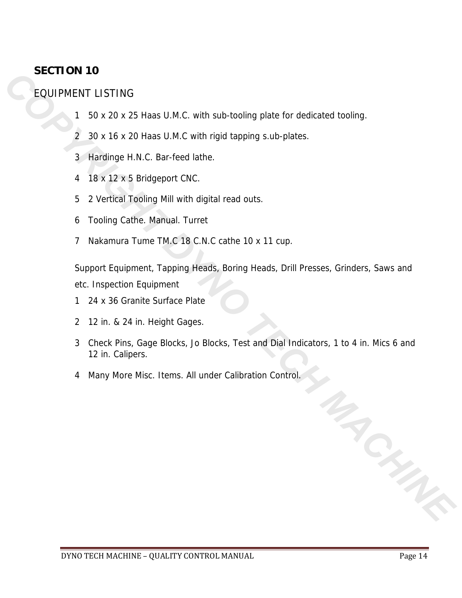#### EQUIPMENT LISTING

- 50 x 20 x 25 Haas U.M.C. with sub-tooling plate for dedicated tooling.
- 30 x 16 x 20 Haas U.M.C with rigid tapping s.ub-plates.
- Hardinge H.N.C. Bar-feed lathe.
- 18 x 12 x 5 Bridgeport CNC.
- 2 Vertical Tooling Mill with digital read outs.
- Tooling Cathe. Manual. Turret
- Nakamura Tume TM.C 18 C.N.C cathe 10 x 11 cup.

Support Equipment, Tapping Heads, Boring Heads, Drill Presses, Grinders, Saws and etc. Inspection Equipment

- 24 x 36 Granite Surface Plate
- 12 in. & 24 in. Height Gages.
- Check Pins, Gage Blocks, Jo Blocks, Test and Dial Indicators, 1 to 4 in. Mics 6 and 12 in. Calipers.
- Many More Misc. Items. All under Calibration Control.

*COPYRIGHT DYNO TECH MACHINE*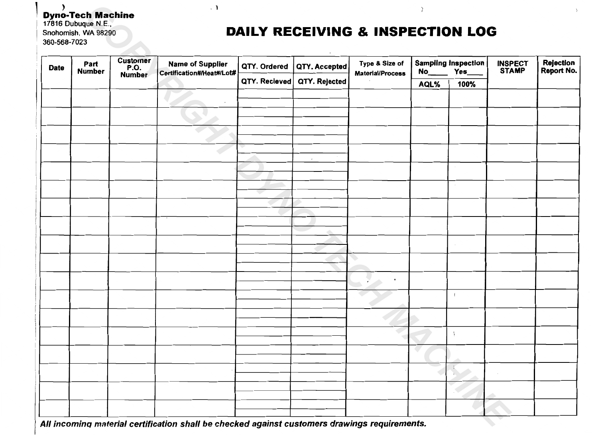#### ) and the contract of  $\mathcal{A}$  . The contract of  $\mathcal{A}$ **Dyno-Tech Machine**

# Snohomish, WA 98290 **DAILY RECEIVING & INSPECTION LOG**

| <b>Date</b> | Part<br><b>Number</b> | <b>Customer</b><br>P.O.<br><b>Number</b> | <b>Name of Supplier</b><br>Certification#/Heat#/Lot# | QTY. Ordered  | QTY. Accepted  | Type & Size of<br><b>Material/Process</b> | <b>Sampling Inspection</b><br>No<br><b>Yes</b> |               | <b>INSPECT</b><br><b>STAMP</b> | <b>Rejection</b><br><b>Report No.</b> |
|-------------|-----------------------|------------------------------------------|------------------------------------------------------|---------------|----------------|-------------------------------------------|------------------------------------------------|---------------|--------------------------------|---------------------------------------|
|             |                       |                                          |                                                      | QTY. Recieved | QTY. Rejected  |                                           | AQL%                                           | 100%          |                                |                                       |
|             |                       |                                          |                                                      |               |                |                                           |                                                |               |                                |                                       |
|             |                       |                                          |                                                      |               |                |                                           |                                                |               |                                |                                       |
|             |                       |                                          |                                                      |               |                |                                           |                                                |               |                                |                                       |
|             |                       |                                          |                                                      |               |                |                                           |                                                |               |                                |                                       |
|             |                       |                                          |                                                      |               |                |                                           |                                                |               |                                |                                       |
|             |                       |                                          |                                                      |               | $\mathfrak{r}$ |                                           |                                                |               |                                |                                       |
|             |                       |                                          |                                                      |               |                |                                           |                                                |               |                                |                                       |
|             |                       |                                          |                                                      |               |                |                                           |                                                |               |                                |                                       |
|             |                       |                                          |                                                      |               |                |                                           |                                                |               |                                |                                       |
|             |                       |                                          |                                                      |               |                |                                           |                                                |               |                                |                                       |
|             |                       |                                          |                                                      |               |                |                                           |                                                |               |                                |                                       |
|             |                       |                                          |                                                      |               |                |                                           |                                                |               |                                |                                       |
|             |                       |                                          |                                                      |               |                |                                           |                                                |               |                                |                                       |
|             |                       |                                          |                                                      |               |                | $\bullet$                                 |                                                |               |                                |                                       |
|             |                       |                                          |                                                      |               |                |                                           |                                                | $\frac{1}{2}$ |                                |                                       |
|             |                       |                                          |                                                      |               |                |                                           |                                                |               |                                |                                       |
|             |                       |                                          |                                                      |               |                |                                           |                                                |               |                                |                                       |
|             |                       |                                          |                                                      |               |                |                                           |                                                |               |                                |                                       |
|             |                       |                                          |                                                      |               |                |                                           |                                                |               |                                |                                       |
|             |                       |                                          |                                                      |               |                |                                           |                                                |               |                                |                                       |
|             |                       |                                          |                                                      |               |                |                                           |                                                |               |                                |                                       |
|             |                       |                                          |                                                      |               |                |                                           |                                                |               |                                |                                       |
|             |                       |                                          |                                                      |               |                |                                           |                                                |               |                                |                                       |
|             |                       |                                          |                                                      |               |                |                                           |                                                |               |                                |                                       |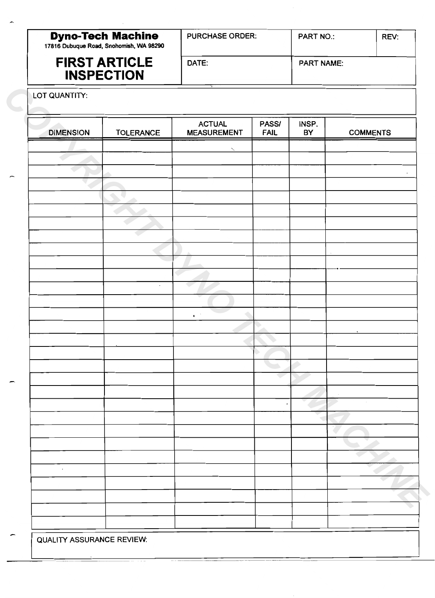|                  | <b>Dyno-Tech Machine</b><br>17816 Dubuque Road, Snohomish, WA 98290 | PURCHASE ORDER:                     |                      | <b>PART NO.:</b>  | REV:            |
|------------------|---------------------------------------------------------------------|-------------------------------------|----------------------|-------------------|-----------------|
|                  | <b>FIRST ARTICLE</b><br><b>INSPECTION</b>                           | DATE:                               |                      | <b>PART NAME:</b> |                 |
| LOT QUANTITY:    |                                                                     |                                     |                      |                   |                 |
| <b>DIMENSION</b> | <b>TOLERANCE</b>                                                    | <b>ACTUAL</b><br><b>MEASUREMENT</b> | PASS/<br><b>FAIL</b> | INSP.<br>BY       | <b>COMMENTS</b> |
|                  |                                                                     |                                     |                      |                   |                 |
|                  |                                                                     |                                     |                      |                   |                 |
|                  |                                                                     |                                     |                      |                   |                 |
|                  |                                                                     |                                     |                      |                   |                 |
|                  |                                                                     |                                     |                      |                   |                 |
|                  |                                                                     |                                     |                      |                   |                 |
|                  |                                                                     |                                     |                      |                   |                 |
|                  |                                                                     |                                     |                      |                   |                 |
|                  |                                                                     |                                     |                      |                   |                 |
|                  |                                                                     |                                     |                      |                   |                 |
|                  |                                                                     |                                     |                      |                   |                 |
|                  | $\ddot{\phantom{0}}$                                                |                                     |                      |                   |                 |
|                  |                                                                     |                                     |                      |                   |                 |
|                  |                                                                     | $\bullet$                           |                      |                   |                 |
|                  |                                                                     |                                     |                      |                   |                 |
|                  |                                                                     |                                     |                      |                   |                 |
|                  |                                                                     |                                     |                      |                   |                 |
|                  |                                                                     |                                     |                      |                   |                 |
|                  |                                                                     |                                     |                      |                   |                 |
|                  |                                                                     |                                     |                      |                   |                 |
|                  |                                                                     |                                     |                      |                   |                 |
|                  |                                                                     |                                     |                      |                   |                 |
|                  |                                                                     |                                     |                      |                   |                 |
|                  |                                                                     |                                     |                      |                   |                 |
|                  |                                                                     |                                     |                      |                   |                 |
| $\cdot$          |                                                                     |                                     |                      |                   |                 |
|                  |                                                                     |                                     |                      |                   |                 |
|                  |                                                                     |                                     |                      |                   |                 |
|                  |                                                                     |                                     |                      |                   |                 |
|                  |                                                                     |                                     |                      |                   |                 |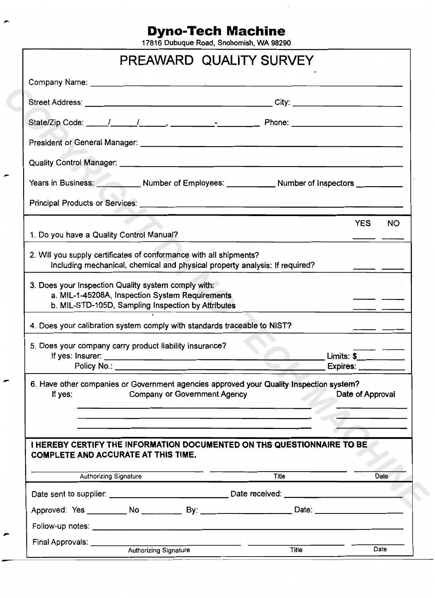# **Dyno-Tech Machine**

17816 Dubuque Road, Snohomish, WA 98290

|         |                                                                                                                                                              | PREAWARD QUALITY SURVEY                                                                                                |       |                                   |           |
|---------|--------------------------------------------------------------------------------------------------------------------------------------------------------------|------------------------------------------------------------------------------------------------------------------------|-------|-----------------------------------|-----------|
|         |                                                                                                                                                              |                                                                                                                        |       |                                   |           |
|         |                                                                                                                                                              |                                                                                                                        |       |                                   |           |
|         |                                                                                                                                                              |                                                                                                                        |       |                                   |           |
|         |                                                                                                                                                              |                                                                                                                        |       |                                   |           |
|         |                                                                                                                                                              |                                                                                                                        |       |                                   |           |
|         | Years in Business: Number of Employees: Number of Inspectors Number of Inspectors                                                                            |                                                                                                                        |       |                                   |           |
|         |                                                                                                                                                              |                                                                                                                        |       |                                   |           |
|         | 1. Do you have a Quality Control Manual?                                                                                                                     |                                                                                                                        |       | <b>YES</b>                        | <b>NO</b> |
|         | 2. Will you supply certificates of conformance with all shipments?<br>Including mechanical, chemical and physical property analysis: If required?            |                                                                                                                        |       |                                   |           |
|         | 3. Does your Inspection Quality system comply with:<br>a. MIL-1-45208A, Inspection System Requirements<br>b. MIL-STD-105D, Sampling Inspection by Attributes |                                                                                                                        |       |                                   |           |
|         | 4. Does your calibration system comply with standards traceable to NIST?                                                                                     |                                                                                                                        |       |                                   |           |
|         | 5. Does your company carry product liability insurance?                                                                                                      |                                                                                                                        |       | Limits: \$<br>Expires: __________ |           |
| If yes: | 6. Have other companies or Government agencies approved your Quality Inspection system?                                                                      | <b>Company or Government Agency</b><br><u> 1989 - Johann Stoff, Amerikaansk politiker († 1908)</u>                     |       | Date of Approval                  |           |
|         |                                                                                                                                                              | <u> 1989 - Johann John Stone, markin sanadi a shekara 1989 - An an tsarani a shekara 1989 - An an tsarani a shekar</u> |       |                                   |           |
|         | I HEREBY CERTIFY THE INFORMATION DOCUMENTED ON THS QUESTIONNAIRE TO BE.<br><b>COMPLETE AND ACCURATE AT THIS TIME.</b>                                        |                                                                                                                        |       |                                   |           |
|         | <b>Authorizing Signature</b>                                                                                                                                 |                                                                                                                        | Title | $\sim 10^{-11}$                   | Date      |
|         |                                                                                                                                                              |                                                                                                                        |       |                                   |           |
|         |                                                                                                                                                              |                                                                                                                        |       |                                   |           |
|         |                                                                                                                                                              |                                                                                                                        |       |                                   |           |

-

-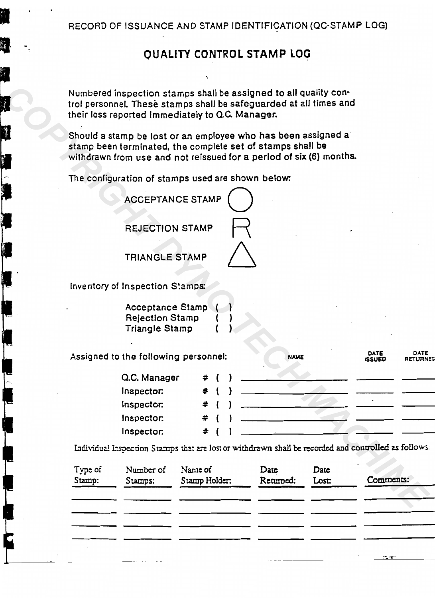# If· **OUALITY CONTROL STAMP LOq**

t!

| Acceptance Stamp ()    |            |     |
|------------------------|------------|-----|
| <b>Rejection Stamp</b> |            | -1  |
| <b>Triangle Stamp</b>  | $\sqrt{2}$ | -1. |

|                               |                   |                                                                                                                           | Numbered inspection stamps shall be assigned to all quality con-<br>trol personnel. These stamps shall be safeguarded at all times and<br>their loss reported immediately to Q.C. Manager.         |                   |               |           |                  |
|-------------------------------|-------------------|---------------------------------------------------------------------------------------------------------------------------|----------------------------------------------------------------------------------------------------------------------------------------------------------------------------------------------------|-------------------|---------------|-----------|------------------|
| $\frac{1}{2}$ , $\frac{1}{2}$ |                   |                                                                                                                           | Should a stamp be lost or an employee who has been assigned a<br>stamp been terminated, the complete set of stamps shall be<br>withdrawn from use and not reissued for a period of six (6) months. |                   |               |           |                  |
|                               |                   |                                                                                                                           | The configuration of stamps used are shown below:                                                                                                                                                  |                   |               |           |                  |
|                               |                   | REJECTION STAMP<br><b>TRIANGLE STAMP</b><br>Inventory of Inspection Stamps:<br>Acceptance Stamp<br><b>Rejection Stamp</b> | <b>ACCEPTANCE STAMP</b>                                                                                                                                                                            |                   |               |           |                  |
|                               |                   | Triangle Stamp<br>Q.C. Manager<br>Inspector:                                                                              | Assigned to the following personnel:                                                                                                                                                               | <b>NAME</b>       |               | ISSUED    | DATE<br>RETURNES |
|                               |                   | Inspector:<br>Inspector:                                                                                                  | #                                                                                                                                                                                                  |                   |               |           |                  |
|                               |                   | Inspector:                                                                                                                | #<br>Individual Inspection Stamps that are lost or withdrawn shall be recorded and controlled as follows:                                                                                          |                   |               |           |                  |
|                               | Type of<br>Stamp: | Number of<br>Stamps:                                                                                                      | Name of<br>Stamp Holder:                                                                                                                                                                           | Date<br>Returned: | Date<br>Lost: | Comments: |                  |
|                               |                   |                                                                                                                           |                                                                                                                                                                                                    |                   |               |           |                  |

| Type of<br>Stamp: | Number of<br>Stamps: | Name of<br>Stamp Holder: | Date<br>Returned: | Date<br>Lost: | Comments: |
|-------------------|----------------------|--------------------------|-------------------|---------------|-----------|
|                   |                      |                          |                   |               |           |
|                   |                      |                          |                   |               |           |
|                   |                      |                          |                   |               |           |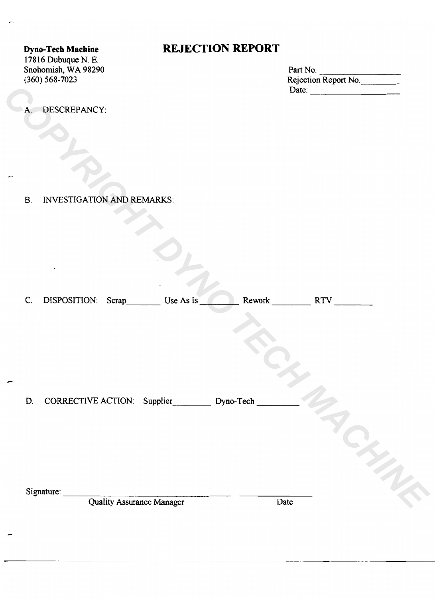17816 Dubuque N. E. Snohomish, WA 98290<br>(360) 568-7023

# **Dyno-Tech Machine REJECTION REPORT**

| Snohomish, WA 98290 | Part No.             |
|---------------------|----------------------|
| $(360) 568 - 7023$  | Rejection Report No. |
|                     | Date:                |
|                     |                      |

A. DESCREPANCY:

B. INVESTIGATION AND REMARKS:

C. DISPOSITION: Scrap Use As Is Bework RTV PRICE AND THE COPYRIGHT ON AND REMARKS:<br>
B. ENVESTIGATION AND REMARKS:<br>
C. DISPOSITION: Strap Use As Is Rework RTV<br>
D. CORRECTIVE ACTION: Supplier Dyno-Tech Price Price Price Price Price Price Price Price Price Price Price

D. CORRECTIVE ACTION: Supplier Dyno-Tech

Signature: \_\_\_\_\_\_\_\_\_\_\_\_\_\_\_

Quality Assurance Manager Date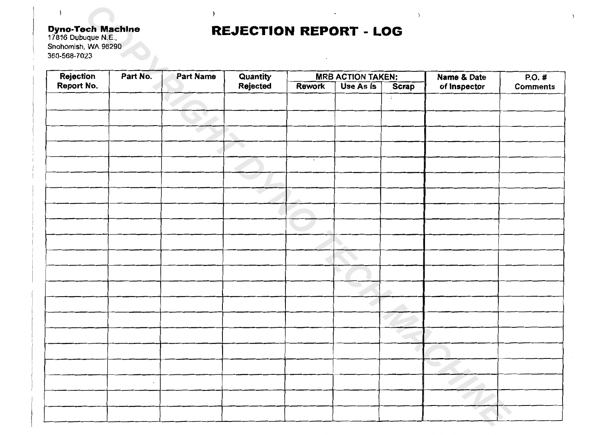#### Dyno-Tech Machine

# **REJECTION REPORT LOG**

| $\rightarrow$<br><b>Dyno-Tech Machine</b><br>17816 Dubuque N.E.,<br>Snohomish, WA 98290<br>360-568-7023 |          |                  | <b>REJECTION REPORT - LOG</b> |               |                          |                            |              |                 |
|---------------------------------------------------------------------------------------------------------|----------|------------------|-------------------------------|---------------|--------------------------|----------------------------|--------------|-----------------|
| Rejection                                                                                               | Part No. | <b>Part Name</b> | Quantity                      |               | <b>MRB ACTION TAKEN:</b> |                            | Name & Date  | P.O. #          |
| Report No.                                                                                              |          |                  | Rejected                      | <b>Rework</b> | Use As Is                | <b>Scrap</b><br>$\ddot{i}$ | of inspector | <b>Comments</b> |
|                                                                                                         |          |                  |                               |               |                          |                            |              |                 |
|                                                                                                         |          |                  |                               |               |                          |                            |              |                 |
|                                                                                                         |          |                  |                               |               |                          |                            |              |                 |
|                                                                                                         |          |                  |                               | $\epsilon$    |                          |                            |              |                 |
|                                                                                                         |          |                  |                               |               |                          |                            |              |                 |
|                                                                                                         |          |                  |                               |               |                          |                            |              |                 |
|                                                                                                         |          |                  |                               |               |                          |                            |              |                 |
|                                                                                                         |          |                  |                               |               |                          |                            |              |                 |
|                                                                                                         |          |                  |                               |               |                          |                            |              |                 |
|                                                                                                         |          |                  |                               |               |                          |                            |              |                 |
|                                                                                                         |          |                  |                               |               |                          |                            |              |                 |
|                                                                                                         |          |                  |                               |               |                          |                            |              |                 |
|                                                                                                         |          |                  |                               |               |                          |                            |              |                 |
|                                                                                                         |          |                  |                               |               |                          |                            |              |                 |
|                                                                                                         |          |                  |                               |               |                          |                            |              |                 |
|                                                                                                         |          |                  |                               |               |                          |                            |              |                 |
|                                                                                                         |          |                  |                               |               |                          |                            |              |                 |
|                                                                                                         | $\cdot$  |                  |                               |               |                          |                            |              |                 |
|                                                                                                         |          |                  |                               |               |                          |                            |              |                 |
|                                                                                                         |          |                  |                               |               |                          |                            |              |                 |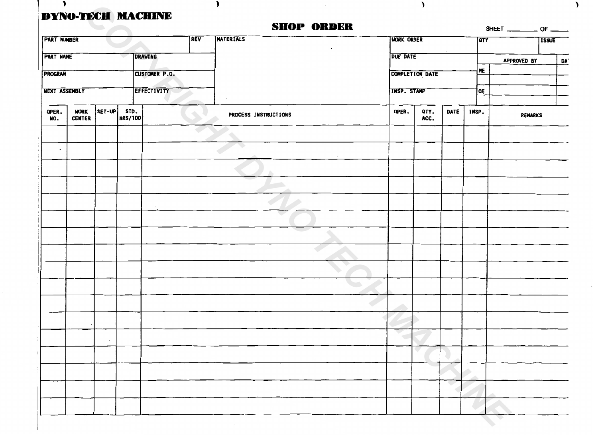# **DYNO-TECH MACHINE**

i

!

i

!

|                      |                       |        |                        |     | <b>SHOP ORDER</b>    |          |                   |                 |      |             |            | SHEET _______________ OF _______ |              |
|----------------------|-----------------------|--------|------------------------|-----|----------------------|----------|-------------------|-----------------|------|-------------|------------|----------------------------------|--------------|
| PART NUMBER          |                       |        |                        | REV | <b>MATERIALS</b>     |          | <b>WORK ORDER</b> |                 |      |             | <b>QTY</b> |                                  | <b>ISSUE</b> |
| PART NAME            |                       |        | <b>DRAWING</b>         |     |                      | DUE DATE |                   |                 |      | APPROVED BY |            | DA <sup>-</sup>                  |              |
| <b>PROGRAM</b>       |                       |        | <b>CUSTOMER P.O.</b>   |     |                      |          |                   | COMPLETION DATE |      |             | ME         |                                  |              |
| <b>NEXT ASSEMBLY</b> |                       |        | <b>EFFECTIVITY</b>     |     |                      |          | INSP. STAMP       |                 |      |             | ] QE       |                                  |              |
| OPER.<br>NO.         | WORK<br><b>CENTER</b> | SET-UP | STD.<br><b>HRS/100</b> |     | PROCESS INSTRUCTIONS |          | OPER.             | QTY.<br>ACC.    | DATE | INSP.       |            | REMARKS                          |              |
|                      |                       |        |                        |     |                      |          |                   |                 |      |             |            |                                  |              |
| $\bullet$            |                       |        |                        |     |                      |          |                   |                 |      |             |            |                                  |              |
|                      |                       |        |                        |     |                      |          |                   |                 |      |             |            |                                  |              |
|                      |                       |        |                        |     |                      |          |                   |                 |      |             |            |                                  |              |
|                      |                       |        |                        |     |                      |          |                   |                 |      |             |            |                                  |              |
|                      |                       |        |                        |     |                      |          |                   |                 |      |             |            |                                  |              |
|                      |                       |        |                        |     |                      |          |                   |                 |      |             |            |                                  |              |
|                      |                       |        |                        |     |                      |          |                   |                 |      |             |            |                                  |              |
|                      |                       |        |                        |     |                      |          |                   |                 |      |             |            |                                  |              |
|                      |                       |        |                        |     |                      |          |                   |                 |      |             |            |                                  |              |
|                      |                       |        |                        |     |                      |          |                   |                 |      |             |            |                                  |              |
|                      |                       |        |                        |     |                      |          |                   |                 |      |             |            |                                  |              |
|                      |                       | $\sim$ |                        |     |                      |          |                   |                 |      |             |            |                                  |              |
|                      |                       |        |                        |     |                      |          |                   |                 |      |             |            |                                  |              |
|                      |                       |        |                        |     |                      |          |                   |                 |      |             |            |                                  |              |
|                      |                       |        |                        |     |                      |          |                   |                 |      |             |            |                                  |              |
|                      |                       |        |                        |     |                      |          |                   |                 |      |             |            |                                  |              |

 $\overline{\phantom{a}}$  ) is a set of  $\overline{\phantom{a}}$  ) is a set of  $\overline{\phantom{a}}$  ) is a set of  $\overline{\phantom{a}}$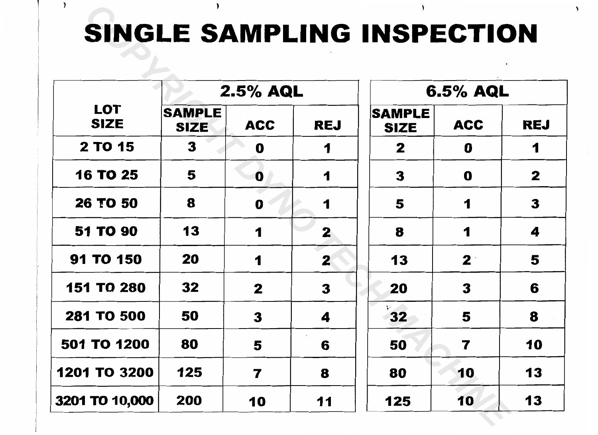# SINGLE SAMPLING INSPECTION

|                           |                              | 2.5% AQL     |              |                              | 6.5% AQL       |              |
|---------------------------|------------------------------|--------------|--------------|------------------------------|----------------|--------------|
| <b>LOT</b><br><b>SIZE</b> | <b>SAMPLE</b><br><b>SIZE</b> | <b>ACC</b>   | <b>REJ</b>   | <b>SAMPLE</b><br><b>SIZE</b> | <b>ACC</b>     | <b>REJ</b>   |
| 2 TO 15                   | 3                            | O            | 1            | $\mathbf{2}$                 | O              | 1            |
| <b>16 TO 25</b>           | 5                            | $\bf{0}$     | 1            | 3                            | O              | $\mathbf{2}$ |
| <b>26 TO 50</b>           | 8                            | $\mathbf 0$  | 1            | 5                            | 1              | 3            |
| 51 TO 90                  | 13                           | 1            | $\mathbf{2}$ | 8                            | 1              | 4            |
| 91 TO 150                 | 20                           | 1            | $\mathbf{2}$ | 13                           | 2 <sup>1</sup> | 5            |
| 151 TO 280                | 32                           | $\mathbf{2}$ | 3            | 20                           | 3              | 6            |
| <b>281 TO 500</b>         | 50                           | 3            | 4            | 32                           | 5              | 8            |
| 501 TO 1200               | 80                           | 5            | 6            | 50                           | 7              | 10           |
| 1201 TO 3200              | 125                          | 7            | 8            | 80                           | 10             | 13           |
| 3201 TO 10,000            | 200                          | 10           | 11           | 125                          | 10             | 13           |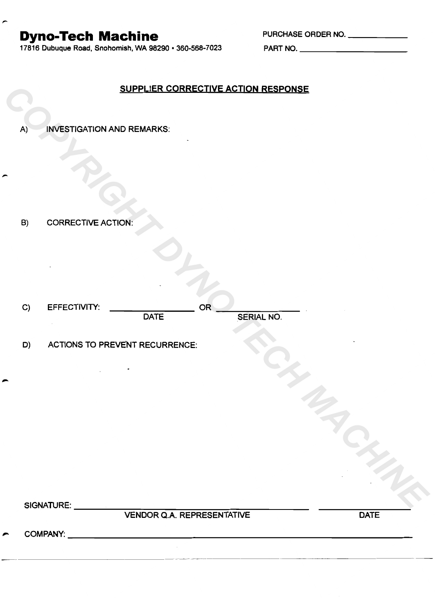# PURCHASE ORDER NO. \_\_\_\_\_ **Dyno-Tech Machine**

17816 Dubuque Road, Snohomish, WA 98290 • 360-568-7023 PART NO. \_\_\_\_\_\_\_\_\_\_\_\_\_\_\_\_

#### SUPPLIER CORRECTIVE ACTION RESPONSE

A) INVESTIGATION AND REMARKS:

B) CORRECTIVE ACTION:

\_\_\_\_\_\_\_ OR \_\_\_\_\_\_\_\_ C) EFFECTIVITY: DATE SERIAL NO. SUPPLIER CORRECTIVE ACTION RESPONSE

D) ACTIONS TO PREVENT RECURRENCE:

---------~---- ~~~ ~~~~~-~~~- --~~~~

SIGNATURE:

VENDOR Q.A. REPRESENTATIVE DATE

COMPANY:

-